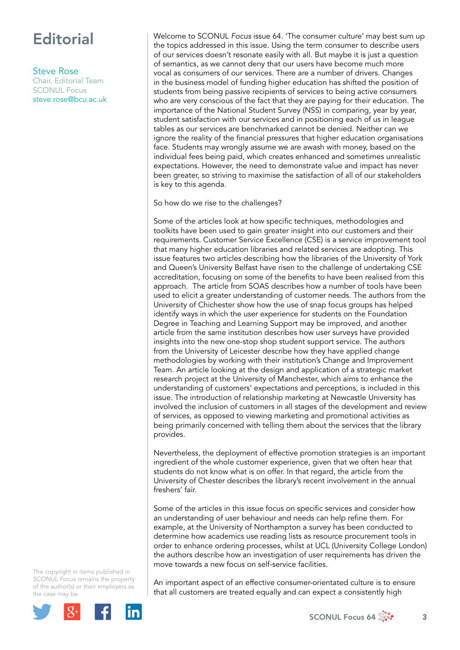## **Editorial**

Steve Rose

Chair, Editorial Team SCONUL Focus [steve.rose@bcu.ac.uk](mailto:steve.rose@bcu.ac.uk) Welcome to SCONUL *Focus* issue 64. 'The consumer culture' may best sum up the topics addressed in this issue. Using the term consumer to describe users of our services doesn't resonate easily with all. But maybe it is just a question of semantics, as we cannot deny that our users have become much more vocal as consumers of our services. There are a number of drivers. Changes in the business model of funding higher education has shifted the position of students from being passive recipients of services to being active consumers who are very conscious of the fact that they are paying for their education. The importance of the National Student Survey (NSS) in comparing, year by year, student satisfaction with our services and in positioning each of us in league tables as our services are benchmarked cannot be denied. Neither can we ignore the reality of the financial pressures that higher education organisations face. Students may wrongly assume we are awash with money, based on the individual fees being paid, which creates enhanced and sometimes unrealistic expectations. However, the need to demonstrate value and impact has never been greater, so striving to maximise the satisfaction of all of our stakeholders is key to this agenda.

So how do we rise to the challenges?

Some of the articles look at how specific techniques, methodologies and toolkits have been used to gain greater insight into our customers and their requirements. Customer Service Excellence (CSE) is a service improvement tool that many higher education libraries and related services are adopting. This issue features two articles describing how the libraries of the University of York and Queen's University Belfast have risen to the challenge of undertaking CSE accreditation, focusing on some of the benefits to have been realised from this approach. The article from SOAS describes how a number of tools have been used to elicit a greater understanding of customer needs. The authors from the University of Chichester show how the use of snap focus groups has helped identify ways in which the user experience for students on the Foundation Degree in Teaching and Learning Support may be improved, and another article from the same institution describes how user surveys have provided insights into the new one-stop shop student support service. The authors from the University of Leicester describe how they have applied change methodologies by working with their institution's Change and Improvement Team. An article looking at the design and application of a strategic market research project at the University of Manchester, which aims to enhance the understanding of customers' expectations and perceptions, is included in this issue. The introduction of relationship marketing at Newcastle University has involved the inclusion of customers in all stages of the development and review of services, as opposed to viewing marketing and promotional activities as being primarily concerned with telling them about the services that the library provides.

Nevertheless, the deployment of effective promotion strategies is an important ingredient of the whole customer experience, given that we often hear that students do not know what is on offer. In that regard, the article from the University of Chester describes the library's recent involvement in the annual freshers' fair.

Some of the articles in this issue focus on specific services and consider how an understanding of user behaviour and needs can help refine them. For example, at the University of Northampton a survey has been conducted to determine how academics use reading lists as resource procurement tools in order to enhance ordering processes, whilst at UCL (University College London) the authors describe how an investigation of user requirements has driven the move towards a new focus on self-service facilities.

The copyright in items published in *SCONUL Focus* remains the property of the author(s) or their employers as the case m[ay be.](http://plus.google.com/share?url=http://www.sconul.ac.uk/page/focus-64)



An important aspect of an effective consumer-orientated culture is to ensure that all customers are treated equally and can expect a consistently high